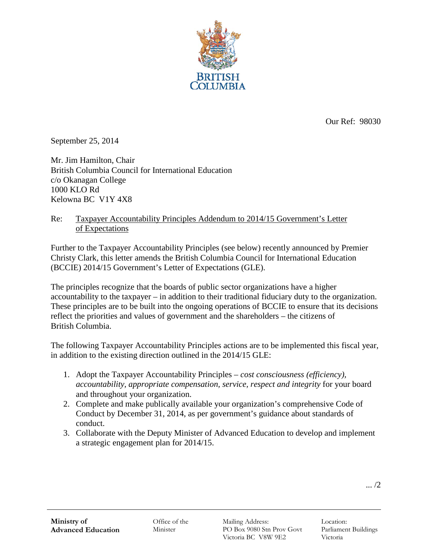

Our Ref: 98030

September 25, 2014

Mr. Jim Hamilton, Chair British Columbia Council for International Education c/o Okanagan College 1000 KLO Rd Kelowna BC V1Y 4X8

## Re: Taxpayer Accountability Principles Addendum to 2014/15 Government's Letter of Expectations

Further to the Taxpayer Accountability Principles (see below) recently announced by Premier Christy Clark, this letter amends the British Columbia Council for International Education (BCCIE) 2014/15 Government's Letter of Expectations (GLE).

The principles recognize that the boards of public sector organizations have a higher accountability to the taxpayer – in addition to their traditional fiduciary duty to the organization. These principles are to be built into the ongoing operations of BCCIE to ensure that its decisions reflect the priorities and values of government and the shareholders – the citizens of British Columbia.

The following Taxpayer Accountability Principles actions are to be implemented this fiscal year, in addition to the existing direction outlined in the 2014/15 GLE:

- 1. Adopt the Taxpayer Accountability Principles *cost consciousness (efficiency), accountability, appropriate compensation, service, respect and integrity* for your board and throughout your organization.
- 2. Complete and make publically available your organization's comprehensive Code of Conduct by December 31, 2014, as per government's guidance about standards of conduct.
- 3. Collaborate with the Deputy Minister of Advanced Education to develop and implement a strategic engagement plan for 2014/15.

... /2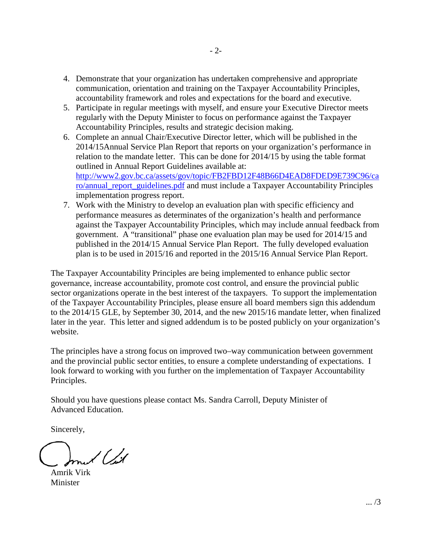- 4. Demonstrate that your organization has undertaken comprehensive and appropriate communication, orientation and training on the Taxpayer Accountability Principles, accountability framework and roles and expectations for the board and executive.
- 5. Participate in regular meetings with myself, and ensure your Executive Director meets regularly with the Deputy Minister to focus on performance against the Taxpayer Accountability Principles, results and strategic decision making.
- 6. Complete an annual Chair/Executive Director letter, which will be published in the 2014/15Annual Service Plan Report that reports on your organization's performance in relation to the mandate letter. This can be done for 2014/15 by using the table format outlined in Annual Report Guidelines available at: http://www2.gov.bc.ca/assets/gov/topic/FB2FBD12F48B66D4EAD8FDED9E739C96/ca ro/annual\_report\_guidelines.pdf and must include a Taxpayer Accountability Principles implementation progress report.
- 7. Work with the Ministry to develop an evaluation plan with specific efficiency and performance measures as determinates of the organization's health and performance against the Taxpayer Accountability Principles, which may include annual feedback from government. A "transitional" phase one evaluation plan may be used for 2014/15 and published in the 2014/15 Annual Service Plan Report. The fully developed evaluation plan is to be used in 2015/16 and reported in the 2015/16 Annual Service Plan Report.

The Taxpayer Accountability Principles are being implemented to enhance public sector governance, increase accountability, promote cost control, and ensure the provincial public sector organizations operate in the best interest of the taxpayers. To support the implementation of the Taxpayer Accountability Principles, please ensure all board members sign this addendum to the 2014/15 GLE, by September 30, 2014, and the new 2015/16 mandate letter, when finalized later in the year. This letter and signed addendum is to be posted publicly on your organization's website.

The principles have a strong focus on improved two–way communication between government and the provincial public sector entities, to ensure a complete understanding of expectations. I look forward to working with you further on the implementation of Taxpayer Accountability Principles.

Should you have questions please contact Ms. Sandra Carroll, Deputy Minister of Advanced Education.

Sincerely,

l (Ll

Amrik Virk Minister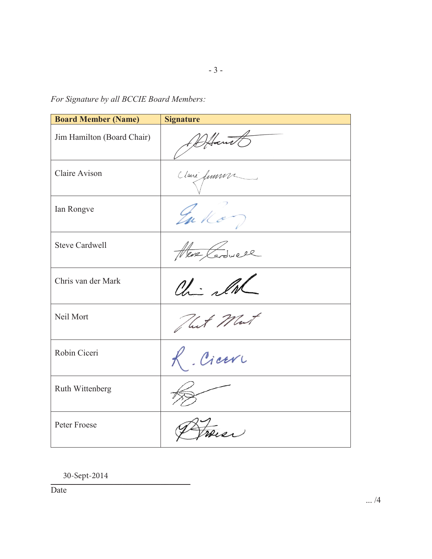*For Signature by all BCCIE Board Members:* 

| <b>Board Member (Name)</b> | <b>Signature</b>  |
|----------------------------|-------------------|
| Jim Hamilton (Board Chair) | DHant             |
| Claire Avison              | Clani fumme       |
| Ian Rongve                 | Enkon             |
| <b>Steve Cardwell</b>      | Here Cardwell     |
| Chris van der Mark         | Chi alwa          |
| Neil Mort                  | That Mut          |
| Robin Ciceri               | Ciceri            |
| Ruth Wittenberg            |                   |
| Peter Froese               | $\overline{2012}$ |

*\_\_\_\_\_\_\_\_\_\_\_\_\_\_\_\_\_\_\_\_\_\_\_\_\_\_\_\_\_\_\_\_\_* 30-Sept-2014

Date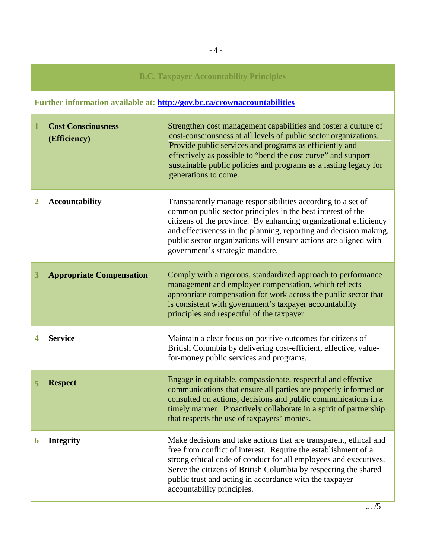| <b>B.C. Taxpayer Accountability Principles</b>                           |                                           |                                                                                                                                                                                                                                                                                                                                                                            |
|--------------------------------------------------------------------------|-------------------------------------------|----------------------------------------------------------------------------------------------------------------------------------------------------------------------------------------------------------------------------------------------------------------------------------------------------------------------------------------------------------------------------|
| Further information available at: http://gov.bc.ca/crownaccountabilities |                                           |                                                                                                                                                                                                                                                                                                                                                                            |
| 1                                                                        | <b>Cost Consciousness</b><br>(Efficiency) | Strengthen cost management capabilities and foster a culture of<br>cost-consciousness at all levels of public sector organizations.<br>Provide public services and programs as efficiently and<br>effectively as possible to "bend the cost curve" and support<br>sustainable public policies and programs as a lasting legacy for<br>generations to come.                 |
| 2                                                                        | <b>Accountability</b>                     | Transparently manage responsibilities according to a set of<br>common public sector principles in the best interest of the<br>citizens of the province. By enhancing organizational efficiency<br>and effectiveness in the planning, reporting and decision making,<br>public sector organizations will ensure actions are aligned with<br>government's strategic mandate. |
| 3                                                                        | <b>Appropriate Compensation</b>           | Comply with a rigorous, standardized approach to performance<br>management and employee compensation, which reflects<br>appropriate compensation for work across the public sector that<br>is consistent with government's taxpayer accountability<br>principles and respectful of the taxpayer.                                                                           |
| 4                                                                        | <b>Service</b>                            | Maintain a clear focus on positive outcomes for citizens of<br>British Columbia by delivering cost-efficient, effective, value-<br>for-money public services and programs.                                                                                                                                                                                                 |
|                                                                          | <b>Respect</b>                            | Engage in equitable, compassionate, respectful and effective<br>communications that ensure all parties are properly informed or<br>consulted on actions, decisions and public communications in a<br>timely manner. Proactively collaborate in a spirit of partnership<br>that respects the use of taxpayers' monies.                                                      |
| 6                                                                        | <b>Integrity</b>                          | Make decisions and take actions that are transparent, ethical and<br>free from conflict of interest. Require the establishment of a<br>strong ethical code of conduct for all employees and executives.<br>Serve the citizens of British Columbia by respecting the shared<br>public trust and acting in accordance with the taxpayer<br>accountability principles.        |

 $\overline{\ldots/5}$